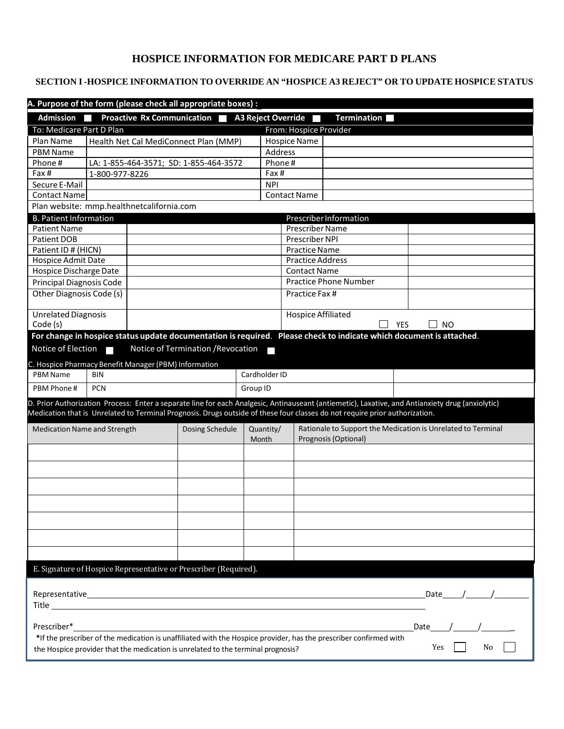# **HOSPICE INFORMATION FOR MEDICARE PART D PLANS**

## **SECTION I -HOSPICE INFORMATION TO OVERRIDE AN "HOSPICE A3 REJECT" OR TO UPDATE HOSPICE STATUS**

| A. Purpose of the form (please check all appropriate boxes) :                                                                                                                                                      |                                                                                                                             |                                    |                      |                           |                              |                                                                                                                                                  |  |
|--------------------------------------------------------------------------------------------------------------------------------------------------------------------------------------------------------------------|-----------------------------------------------------------------------------------------------------------------------------|------------------------------------|----------------------|---------------------------|------------------------------|--------------------------------------------------------------------------------------------------------------------------------------------------|--|
| <b>Proactive Rx Communication</b><br>Admission <b>N</b><br>A3 Reject Override<br><b>Termination</b>                                                                                                                |                                                                                                                             |                                    |                      |                           |                              |                                                                                                                                                  |  |
| To: Medicare Part D Plan                                                                                                                                                                                           |                                                                                                                             |                                    |                      | From: Hospice Provider    |                              |                                                                                                                                                  |  |
| Plan Name                                                                                                                                                                                                          | Health Net Cal MediConnect Plan (MMP)                                                                                       |                                    |                      | <b>Hospice Name</b>       |                              |                                                                                                                                                  |  |
| <b>PBM Name</b>                                                                                                                                                                                                    |                                                                                                                             |                                    |                      | Address                   |                              |                                                                                                                                                  |  |
| Phone#                                                                                                                                                                                                             | LA: 1-855-464-3571; SD: 1-855-464-3572                                                                                      |                                    |                      | Phone#                    |                              |                                                                                                                                                  |  |
| Fax#                                                                                                                                                                                                               | 1-800-977-8226                                                                                                              | Fax #                              |                      |                           |                              |                                                                                                                                                  |  |
| Secure E-Mail                                                                                                                                                                                                      |                                                                                                                             |                                    | <b>NPI</b>           |                           |                              |                                                                                                                                                  |  |
| <b>Contact Name</b>                                                                                                                                                                                                |                                                                                                                             |                                    |                      | <b>Contact Name</b>       |                              |                                                                                                                                                  |  |
|                                                                                                                                                                                                                    | Plan website: mmp.healthnetcalifornia.com                                                                                   |                                    |                      |                           |                              |                                                                                                                                                  |  |
| <b>B. Patient Information</b>                                                                                                                                                                                      |                                                                                                                             |                                    |                      |                           | Prescriber Information       |                                                                                                                                                  |  |
| <b>Patient Name</b>                                                                                                                                                                                                |                                                                                                                             |                                    |                      | <b>Prescriber Name</b>    |                              |                                                                                                                                                  |  |
| Patient DOB                                                                                                                                                                                                        |                                                                                                                             |                                    |                      | <b>Prescriber NPI</b>     |                              |                                                                                                                                                  |  |
| Patient ID # (HICN)                                                                                                                                                                                                |                                                                                                                             |                                    | <b>Practice Name</b> |                           |                              |                                                                                                                                                  |  |
| Hospice Admit Date                                                                                                                                                                                                 |                                                                                                                             |                                    |                      |                           | <b>Practice Address</b>      |                                                                                                                                                  |  |
| Hospice Discharge Date                                                                                                                                                                                             |                                                                                                                             |                                    |                      | <b>Contact Name</b>       |                              |                                                                                                                                                  |  |
| Principal Diagnosis Code                                                                                                                                                                                           |                                                                                                                             |                                    |                      |                           | <b>Practice Phone Number</b> |                                                                                                                                                  |  |
| Other Diagnosis Code (s)                                                                                                                                                                                           |                                                                                                                             |                                    |                      | Practice Fax #            |                              |                                                                                                                                                  |  |
| <b>Unrelated Diagnosis</b>                                                                                                                                                                                         |                                                                                                                             |                                    |                      | <b>Hospice Affiliated</b> |                              |                                                                                                                                                  |  |
| Code (s)                                                                                                                                                                                                           |                                                                                                                             |                                    |                      |                           |                              | YES<br>NO                                                                                                                                        |  |
|                                                                                                                                                                                                                    |                                                                                                                             |                                    |                      |                           |                              | For change in hospice status update documentation is required. Please check to indicate which document is attached.                              |  |
| Notice of Election                                                                                                                                                                                                 |                                                                                                                             | Notice of Termination / Revocation |                      |                           |                              |                                                                                                                                                  |  |
|                                                                                                                                                                                                                    | C. Hospice Pharmacy Benefit Manager (PBM) Information                                                                       |                                    |                      |                           |                              |                                                                                                                                                  |  |
| PBM Name                                                                                                                                                                                                           | <b>BIN</b>                                                                                                                  |                                    | Cardholder ID        |                           |                              |                                                                                                                                                  |  |
| PBM Phone#                                                                                                                                                                                                         | <b>PCN</b>                                                                                                                  |                                    | Group ID             |                           |                              |                                                                                                                                                  |  |
|                                                                                                                                                                                                                    |                                                                                                                             |                                    |                      |                           |                              | D. Prior Authorization Process: Enter a separate line for each Analgesic, Antinauseant (antiemetic), Laxative, and Antianxiety drug (anxiolytic) |  |
|                                                                                                                                                                                                                    | Medication that is Unrelated to Terminal Prognosis. Drugs outside of these four classes do not require prior authorization. |                                    |                      |                           |                              |                                                                                                                                                  |  |
| <b>Medication Name and Strength</b>                                                                                                                                                                                |                                                                                                                             | Dosing Schedule                    | Quantity/            |                           |                              | Rationale to Support the Medication is Unrelated to Terminal                                                                                     |  |
|                                                                                                                                                                                                                    |                                                                                                                             |                                    | Month                | Prognosis (Optional)      |                              |                                                                                                                                                  |  |
|                                                                                                                                                                                                                    |                                                                                                                             |                                    |                      |                           |                              |                                                                                                                                                  |  |
|                                                                                                                                                                                                                    |                                                                                                                             |                                    |                      |                           |                              |                                                                                                                                                  |  |
|                                                                                                                                                                                                                    |                                                                                                                             |                                    |                      |                           |                              |                                                                                                                                                  |  |
|                                                                                                                                                                                                                    |                                                                                                                             |                                    |                      |                           |                              |                                                                                                                                                  |  |
|                                                                                                                                                                                                                    |                                                                                                                             |                                    |                      |                           |                              |                                                                                                                                                  |  |
|                                                                                                                                                                                                                    |                                                                                                                             |                                    |                      |                           |                              |                                                                                                                                                  |  |
|                                                                                                                                                                                                                    |                                                                                                                             |                                    |                      |                           |                              |                                                                                                                                                  |  |
|                                                                                                                                                                                                                    |                                                                                                                             |                                    |                      |                           |                              |                                                                                                                                                  |  |
| E. Signature of Hospice Representative or Prescriber (Required).                                                                                                                                                   |                                                                                                                             |                                    |                      |                           |                              |                                                                                                                                                  |  |
|                                                                                                                                                                                                                    |                                                                                                                             |                                    |                      |                           |                              |                                                                                                                                                  |  |
|                                                                                                                                                                                                                    |                                                                                                                             |                                    |                      |                           |                              |                                                                                                                                                  |  |
| Date                                                                                                                                                                                                               |                                                                                                                             |                                    |                      |                           |                              |                                                                                                                                                  |  |
|                                                                                                                                                                                                                    |                                                                                                                             |                                    |                      |                           |                              |                                                                                                                                                  |  |
| Prescriber*<br>Date                                                                                                                                                                                                |                                                                                                                             |                                    |                      |                           |                              |                                                                                                                                                  |  |
|                                                                                                                                                                                                                    |                                                                                                                             |                                    |                      |                           |                              |                                                                                                                                                  |  |
| *If the prescriber of the medication is unaffiliated with the Hospice provider, has the prescriber confirmed with<br>Yes<br>No<br>the Hospice provider that the medication is unrelated to the terminal prognosis? |                                                                                                                             |                                    |                      |                           |                              |                                                                                                                                                  |  |
|                                                                                                                                                                                                                    |                                                                                                                             |                                    |                      |                           |                              |                                                                                                                                                  |  |